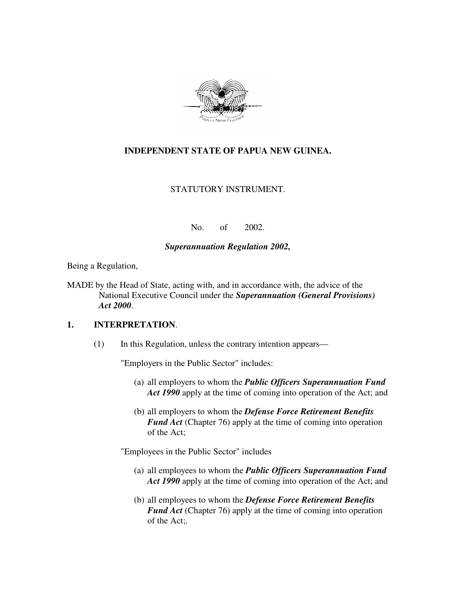

## **INDEPENDENT STATE OF PAPUA NEW GUINEA.**

#### STATUTORY INSTRUMENT.

No. of 2002.

#### *Superannuation Regulation 2002,*

Being a Regulation,

MADE by the Head of State, acting with, and in accordance with, the advice of the National Executive Council under the *Superannuation (General Provisions) Act 2000*.

#### **1. INTERPRETATION**.

(1) In this Regulation, unless the contrary intention appears—

"Employers in the Public Sector" includes:

- (a) all employers to whom the *Public Officers Superannuation Fund Act 1990* apply at the time of coming into operation of the Act; and
- (b) all employers to whom the *Defense Force Retirement Benefits Fund Act* (Chapter 76) apply at the time of coming into operation of the Act;

"Employees in the Public Sector" includes

- (a) all employees to whom the *Public Officers Superannuation Fund Act 1990* apply at the time of coming into operation of the Act; and
- (b) all employees to whom the *Defense Force Retirement Benefits Fund Act* (Chapter 76) apply at the time of coming into operation of the Act;.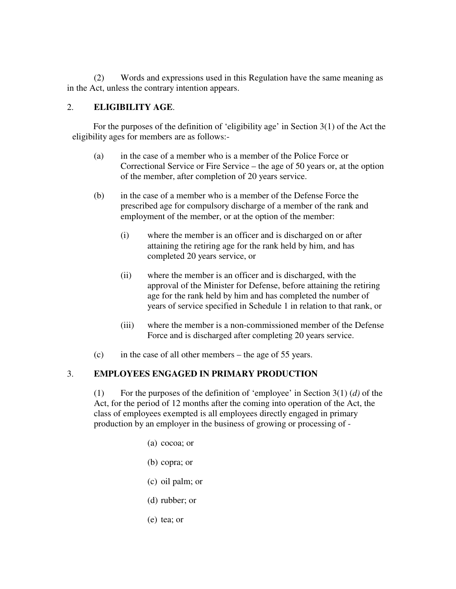(2) Words and expressions used in this Regulation have the same meaning as in the Act, unless the contrary intention appears.

#### 2. **ELIGIBILITY AGE**.

For the purposes of the definition of 'eligibility age' in Section 3(1) of the Act the eligibility ages for members are as follows:-

- (a) in the case of a member who is a member of the Police Force or Correctional Service or Fire Service – the age of 50 years or, at the option of the member, after completion of 20 years service.
- (b) in the case of a member who is a member of the Defense Force the prescribed age for compulsory discharge of a member of the rank and employment of the member, or at the option of the member:
	- (i) where the member is an officer and is discharged on or after attaining the retiring age for the rank held by him, and has completed 20 years service, or
	- (ii) where the member is an officer and is discharged, with the approval of the Minister for Defense, before attaining the retiring age for the rank held by him and has completed the number of years of service specified in Schedule 1 in relation to that rank, or
	- (iii) where the member is a non-commissioned member of the Defense Force and is discharged after completing 20 years service.
- (c) in the case of all other members the age of 55 years.

## 3. **EMPLOYEES ENGAGED IN PRIMARY PRODUCTION**

(1) For the purposes of the definition of 'employee' in Section 3(1) (*d)* of the Act, for the period of 12 months after the coming into operation of the Act, the class of employees exempted is all employees directly engaged in primary production by an employer in the business of growing or processing of -

- (a) cocoa; or
- (b) copra; or
- (c) oil palm; or
- (d) rubber; or
- (e) tea; or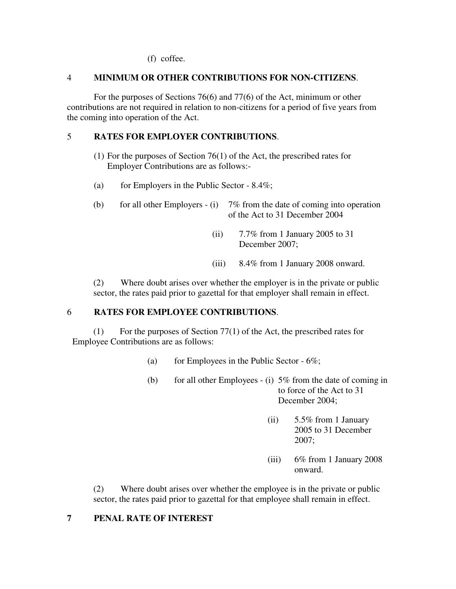(f) coffee.

#### 4 **MINIMUM OR OTHER CONTRIBUTIONS FOR NON-CITIZENS**.

For the purposes of Sections 76(6) and 77(6) of the Act, minimum or other contributions are not required in relation to non-citizens for a period of five years from the coming into operation of the Act.

#### 5 **RATES FOR EMPLOYER CONTRIBUTIONS**.

- (1) For the purposes of Section 76(1) of the Act, the prescribed rates for Employer Contributions are as follows:-
- (a) for Employers in the Public Sector  $-8.4\%$ ;
- (b) for all other Employers (i)  $7\%$  from the date of coming into operation of the Act to 31 December 2004
	- (ii) 7.7% from 1 January 2005 to 31 December 2007;
	- (iii) 8.4% from 1 January 2008 onward.

(2) Where doubt arises over whether the employer is in the private or public sector, the rates paid prior to gazettal for that employer shall remain in effect.

#### 6 **RATES FOR EMPLOYEE CONTRIBUTIONS**.

(1) For the purposes of Section 77(1) of the Act, the prescribed rates for Employee Contributions are as follows:

- (a) for Employees in the Public Sector  $6\%$ ;
- (b) for all other Employees (i)  $5\%$  from the date of coming in to force of the Act to 31 December 2004;
	- (ii)  $5.5\%$  from 1 January 2005 to 31 December 2007;
	- (iii) 6% from 1 January 2008 onward.

(2) Where doubt arises over whether the employee is in the private or public sector, the rates paid prior to gazettal for that employee shall remain in effect.

#### **7 PENAL RATE OF INTEREST**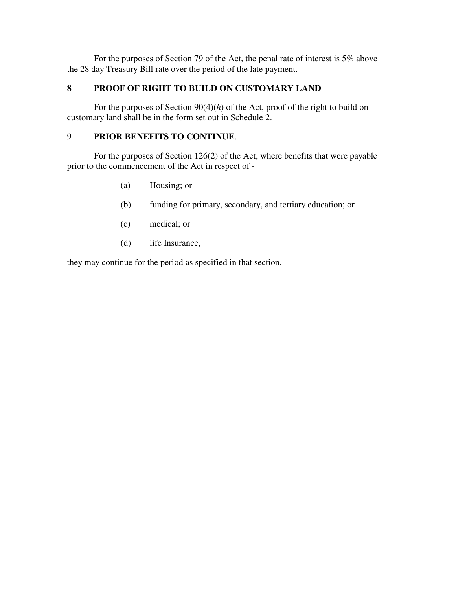For the purposes of Section 79 of the Act, the penal rate of interest is 5% above the 28 day Treasury Bill rate over the period of the late payment.

## **8 PROOF OF RIGHT TO BUILD ON CUSTOMARY LAND**

For the purposes of Section 90(4)(*h*) of the Act, proof of the right to build on customary land shall be in the form set out in Schedule 2.

## 9 **PRIOR BENEFITS TO CONTINUE**.

For the purposes of Section 126(2) of the Act, where benefits that were payable prior to the commencement of the Act in respect of -

- (a) Housing; or
- (b) funding for primary, secondary, and tertiary education; or
- (c) medical; or
- (d) life Insurance,

they may continue for the period as specified in that section.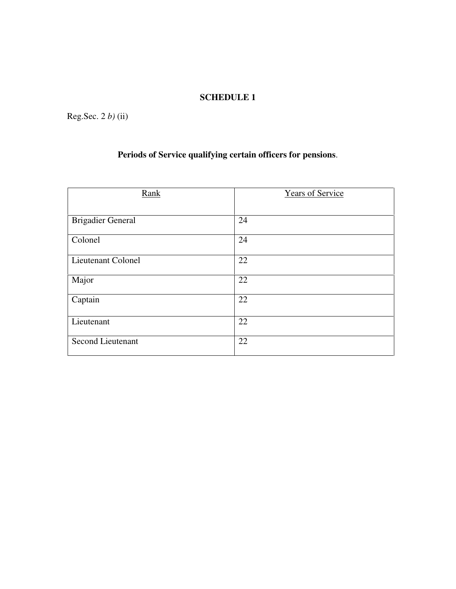## **SCHEDULE 1**

Reg.Sec. 2 *b)* (ii)

## **Periods of Service qualifying certain officers for pensions**.

| Rank                     | <b>Years of Service</b> |  |
|--------------------------|-------------------------|--|
|                          |                         |  |
| <b>Brigadier General</b> | 24                      |  |
| Colonel                  | 24                      |  |
| Lieutenant Colonel       | 22                      |  |
| Major                    | 22                      |  |
| Captain                  | 22                      |  |
| Lieutenant               | 22                      |  |
| <b>Second Lieutenant</b> | 22                      |  |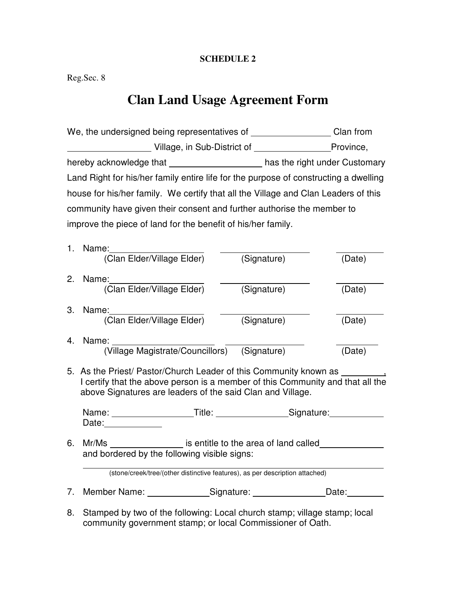#### **SCHEDULE 2**

Reg.Sec. 8

# **Clan Land Usage Agreement Form**

| We, the undersigned being representatives of                                         |                                     |             | Clan from |  |  |
|--------------------------------------------------------------------------------------|-------------------------------------|-------------|-----------|--|--|
|                                                                                      | Village, in Sub-District of         |             | Province, |  |  |
| hereby acknowledge that __________________________has the right under Customary      |                                     |             |           |  |  |
| Land Right for his/her family entire life for the purpose of constructing a dwelling |                                     |             |           |  |  |
| house for his/her family. We certify that all the Village and Clan Leaders of this   |                                     |             |           |  |  |
| community have given their consent and further authorise the member to               |                                     |             |           |  |  |
| improve the piece of land for the benefit of his/her family.                         |                                     |             |           |  |  |
| 1.                                                                                   | Name:<br>(Clan Elder/Village Elder) | (Signature) | (Date)    |  |  |
| 2.                                                                                   | Name:<br>(Clan Elder/Village Elder) | (Signature) | (Date)    |  |  |
| З.                                                                                   | Name:<br>(Clan Elder/Village Elder) | (Signature) | (Date)    |  |  |

- 4. Name: (Village Magistrate/Councillors) (Signature) (Date)
- 5. As the Priest/ Pastor/Church Leader of this Community known as \_\_\_\_\_\_\_\_ I certify that the above person is a member of this Community and that all the above Signatures are leaders of the said Clan and Village.

Name: Title: Communication Communication Communication Communication Communication Communication Communication Date: **Date:** 

6. Mr/Ms \_\_\_\_\_\_\_\_\_\_\_\_\_\_\_\_\_ is entitle to the area of land called\_\_\_\_\_\_\_\_\_\_\_\_\_\_\_ and bordered by the following visible signs:

(stone/creek/tree/(other distinctive features), as per description attached)

7. Member Name: Signature: Signature: Date:

8. Stamped by two of the following: Local church stamp; village stamp; local community government stamp; or local Commissioner of Oath.